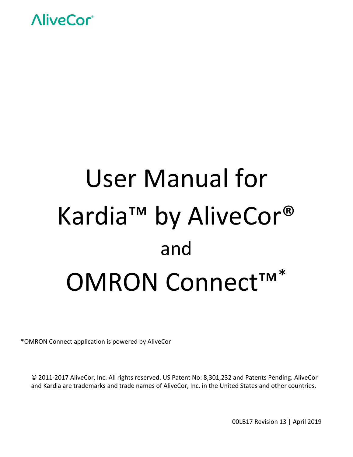

# User Manual for Kardia™ by AliveCor® and OMRON Connect™\*

\*OMRON Connect application is powered by AliveCor

© 2011‐2017 AliveCor, Inc. All rights reserved. US Patent No: 8,301,232 and Patents Pending. AliveCor and Kardia are trademarks and trade names of AliveCor, Inc. in the United States and other countries.

00LB17 Revision 13 | April 2019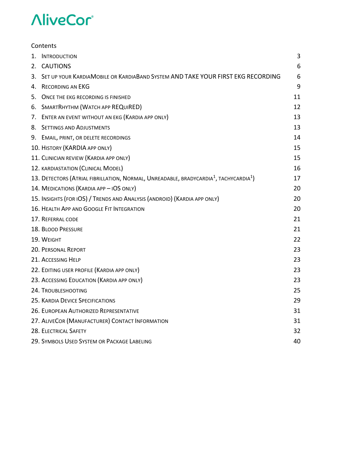|    | Contents                                                                                                      |    |
|----|---------------------------------------------------------------------------------------------------------------|----|
| 1. | <b>INTRODUCTION</b>                                                                                           | 3  |
|    | 2. CAUTIONS                                                                                                   | 6  |
| 3. | SET UP YOUR KARDIAMOBILE OR KARDIABAND SYSTEM AND TAKE YOUR FIRST EKG RECORDING                               | 6  |
| 4. | <b>RECORDING AN EKG</b>                                                                                       | 9  |
| 5. | ONCE THE EKG RECORDING IS FINISHED                                                                            | 11 |
|    | 6. SMARTRHYTHM (WATCH APP REQUIRED)                                                                           | 12 |
|    | 7. ENTER AN EVENT WITHOUT AN EKG (KARDIA APP ONLY)                                                            | 13 |
|    | 8. SETTINGS AND ADJUSTMENTS                                                                                   | 13 |
|    | 9. EMAIL, PRINT, OR DELETE RECORDINGS                                                                         | 14 |
|    | 10. HISTORY (KARDIA APP ONLY)                                                                                 | 15 |
|    | 11. CLINICIAN REVIEW (KARDIA APP ONLY)                                                                        | 15 |
|    | 12. KARDIASTATION (CLINICAL MODEL)                                                                            | 16 |
|    | 13. DETECTORS (ATRIAL FIBRILLATION, NORMAL, UNREADABLE, BRADYCARDIA <sup>1</sup> , TACHYCARDIA <sup>1</sup> ) | 17 |
|    | 14. MEDICATIONS (KARDIA APP - IOS ONLY)                                                                       | 20 |
|    | 15. INSIGHTS (FOR IOS) / TRENDS AND ANALYSIS (ANDROID) (KARDIA APP ONLY)                                      | 20 |
|    | 16. HEALTH APP AND GOOGLE FIT INTEGRATION                                                                     | 20 |
|    | 17. REFERRAL CODE                                                                                             | 21 |
|    | 18. BLOOD PRESSURE                                                                                            | 21 |
|    | 19. WEIGHT                                                                                                    | 22 |
|    | 20. PERSONAL REPORT                                                                                           | 23 |
|    | 21. ACCESSING HELP                                                                                            | 23 |
|    | 22. EDITING USER PROFILE (KARDIA APP ONLY)                                                                    | 23 |
|    | 23. ACCESSING EDUCATION (KARDIA APP ONLY)                                                                     | 23 |
|    | 24. TROUBLESHOOTING                                                                                           | 25 |
|    | 25. KARDIA DEVICE SPECIFICATIONS                                                                              | 29 |
|    | 26. EUROPEAN AUTHORIZED REPRESENTATIVE                                                                        | 31 |
|    | 27. ALIVECOR (MANUFACTURER) CONTACT INFORMATION                                                               | 31 |
|    | 28. ELECTRICAL SAFETY                                                                                         | 32 |
|    | 29. SYMBOLS USED SYSTEM OR PACKAGE LABELING                                                                   | 40 |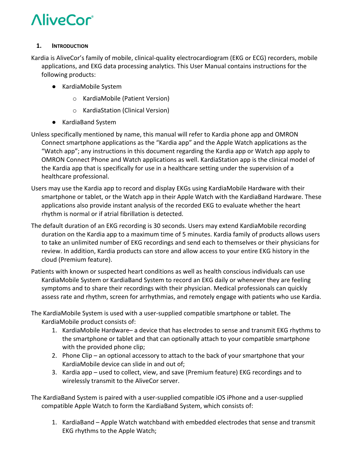### **1. INTRODUCTION**

Kardia is AliveCor's family of mobile, clinical‐quality electrocardiogram (EKG or ECG) recorders, mobile applications, and EKG data processing analytics. This User Manual contains instructions for the following products:

- KardiaMobile System
	- o KardiaMobile (Patient Version)
	- o KardiaStation (Clinical Version)
- KardiaBand System
- Unless specifically mentioned by name, this manual will refer to Kardia phone app and OMRON Connect smartphone applications as the "Kardia app" and the Apple Watch applications as the "Watch app"; any instructions in this document regarding the Kardia app or Watch app apply to OMRON Connect Phone and Watch applications as well. KardiaStation app is the clinical model of the Kardia app that is specifically for use in a healthcare setting under the supervision of a healthcare professional.
- Users may use the Kardia app to record and display EKGs using KardiaMobile Hardware with their smartphone or tablet, or the Watch app in their Apple Watch with the KardiaBand Hardware. These applications also provide instant analysis of the recorded EKG to evaluate whether the heart rhythm is normal or if atrial fibrillation is detected.
- The default duration of an EKG recording is 30 seconds. Users may extend KardiaMobile recording duration on the Kardia app to a maximum time of 5 minutes. Kardia family of products allows users to take an unlimited number of EKG recordings and send each to themselves or their physicians for review. In addition, Kardia products can store and allow access to your entire EKG history in the cloud (Premium feature).
- Patients with known or suspected heart conditions as well as health conscious individuals can use KardiaMobile System or KardiaBand System to record an EKG daily or whenever they are feeling symptoms and to share their recordings with their physician. Medical professionals can quickly assess rate and rhythm, screen for arrhythmias, and remotely engage with patients who use Kardia.

The KardiaMobile System is used with a user‐supplied compatible smartphone or tablet. The KardiaMobile product consists of:

- 1. KardiaMobile Hardware– a device that has electrodes to sense and transmit EKG rhythms to the smartphone or tablet and that can optionally attach to your compatible smartphone with the provided phone clip;
- 2. Phone Clip an optional accessory to attach to the back of your smartphone that your KardiaMobile device can slide in and out of;
- 3. Kardia app used to collect, view, and save (Premium feature) EKG recordings and to wirelessly transmit to the AliveCor server.

The KardiaBand System is paired with a user‐supplied compatible iOS iPhone and a user‐supplied compatible Apple Watch to form the KardiaBand System, which consists of:

1. KardiaBand – Apple Watch watchband with embedded electrodes that sense and transmit EKG rhythms to the Apple Watch;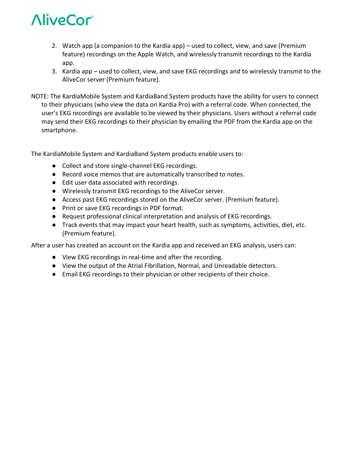- 2. Watch app (a companion to the Kardia app) used to collect, view, and save (Premium feature) recordings on the Apple Watch, and wirelessly transmit recordings to the Kardia app.
- 3. Kardia app used to collect, view, and save EKG recordings and to wirelessly transmit to the AliveCor server (Premium feature).
- NOTE: The KardiaMobile System and KardiaBand System products have the ability for users to connect to their physicians (who view the data on Kardia Pro) with a referral code. When connected, the user's EKG recordings are available to be viewed by their physicians. Users without a referral code may send their EKG recordings to their physician by emailing the PDF from the Kardia app on the smartphone.

The KardiaMobile System and KardiaBand System products enable users to:

- Collect and store single-channel EKG recordings.
- Record voice memos that are automatically transcribed to notes.
- Edit user data associated with recordings.
- Wirelessly transmit EKG recordings to the AliveCor server.
- Access past EKG recordings stored on the AliveCor server. (Premium feature).
- Print or save EKG recordings in PDF format.
- Request professional clinical interpretation and analysis of EKG recordings.
- Track events that may impact your heart health, such as symptoms, activities, diet, etc. (Premium feature).

After a user has created an account on the Kardia app and received an EKG analysis, users can:

- View EKG recordings in real-time and after the recording.
- View the output of the Atrial Fibrillation, Normal, and Unreadable detectors.
- Email EKG recordings to their physician or other recipients of their choice.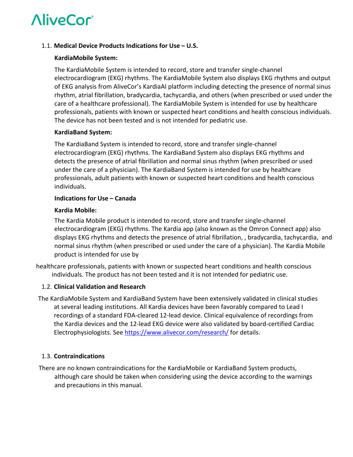### 1.1. **Medical Device Products Indications for Use – U.S.**

### **KardiaMobile System:**

The KardiaMobile System is intended to record, store and transfer single‐channel electrocardiogram (EKG) rhythms. The KardiaMobile System also displays EKG rhythms and output of EKG analysis from AliveCor's KardiaAI platform including detecting the presence of normal sinus rhythm, atrial fibrillation, bradycardia, tachycardia, and others (when prescribed or used under the care of a healthcare professional). The KardiaMobile System is intended for use by healthcare professionals, patients with known or suspected heart conditions and health conscious individuals. The device has not been tested and is not intended for pediatric use.

### **KardiaBand System:**

The KardiaBand System is intended to record, store and transfer single‐channel electrocardiogram (EKG) rhythms. The KardiaBand System also displays EKG rhythms and detects the presence of atrial fibrillation and normal sinus rhythm (when prescribed or used under the care of a physician). The KardiaBand System is intended for use by healthcare professionals, adult patients with known or suspected heart conditions and health conscious individuals.

### **Indications for Use – Canada**

### **Kardia Mobile:**

The Kardia Mobile product is intended to record, store and transfer single‐channel electrocardiogram (EKG) rhythms. The Kardia app (also known as the Omron Connect app) also displays EKG rhythms and detects the presence of atrial fibrillation, , bradycardia, tachycardia, and normal sinus rhythm (when prescribed or used under the care of a physician). The Kardia Mobile product is intended for use by

healthcare professionals, patients with known or suspected heart conditions and health conscious individuals. The product has not been tested and it is not intended for pediatric use.

# 1.2. **Clinical Validation and Research**

The KardiaMobile System and KardiaBand System have been extensively validated in clinical studies at several leading institutions. All Kardia devices have been favorably compared to Lead I recordings of a standard FDA‐cleared 12‐lead device. Clinical equivalence of recordings from the Kardia devices and the 12‐lead EKG device were also validated by board‐certified Cardiac Electrophysiologists. See https://www.alivecor.com/research/ for details.

# 1.3. **Contraindications**

There are no known contraindications for the KardiaMobile or KardiaBand System products, although care should be taken when considering using the device according to the warnings and precautions in this manual.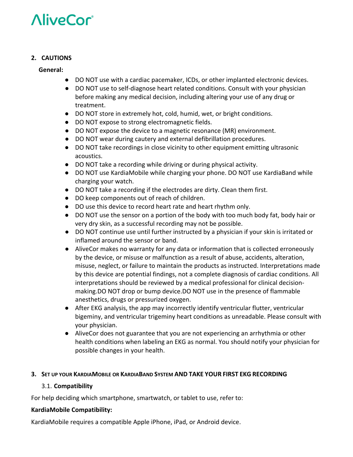# **2. CAUTIONS**

# **General:**

- DO NOT use with a cardiac pacemaker, ICDs, or other implanted electronic devices.
- DO NOT use to self-diagnose heart related conditions. Consult with your physician before making any medical decision, including altering your use of any drug or treatment.
- DO NOT store in extremely hot, cold, humid, wet, or bright conditions.
- DO NOT expose to strong electromagnetic fields.
- DO NOT expose the device to a magnetic resonance (MR) environment.
- DO NOT wear during cautery and external defibrillation procedures.
- DO NOT take recordings in close vicinity to other equipment emitting ultrasonic acoustics.
- DO NOT take a recording while driving or during physical activity.
- DO NOT use KardiaMobile while charging your phone. DO NOT use KardiaBand while charging your watch.
- DO NOT take a recording if the electrodes are dirty. Clean them first.
- DO keep components out of reach of children.
- DO use this device to record heart rate and heart rhythm only.
- DO NOT use the sensor on a portion of the body with too much body fat, body hair or very dry skin, as a successful recording may not be possible.
- DO NOT continue use until further instructed by a physician if your skin is irritated or inflamed around the sensor or band.
- AliveCor makes no warranty for any data or information that is collected erroneously by the device, or misuse or malfunction as a result of abuse, accidents, alteration, misuse, neglect, or failure to maintain the products as instructed. Interpretations made by this device are potential findings, not a complete diagnosis of cardiac conditions. All interpretations should be reviewed by a medical professional for clinical decision‐ making.DO NOT drop or bump device.DO NOT use in the presence of flammable anesthetics, drugs or pressurized oxygen.
- After EKG analysis, the app may incorrectly identify ventricular flutter, ventricular bigeminy, and ventricular trigeminy heart conditions as unreadable. Please consult with your physician.
- AliveCor does not guarantee that you are not experiencing an arrhythmia or other health conditions when labeling an EKG as normal. You should notify your physician for possible changes in your health.

# **3. SET UP YOUR KARDIAMOBILE OR KARDIABAND SYSTEM AND TAKE YOUR FIRST EKG RECORDING**

# 3.1. **Compatibility**

For help deciding which smartphone, smartwatch, or tablet to use, refer to:

# **KardiaMobile Compatibility:**

KardiaMobile requires a compatible Apple iPhone, iPad, or Android device.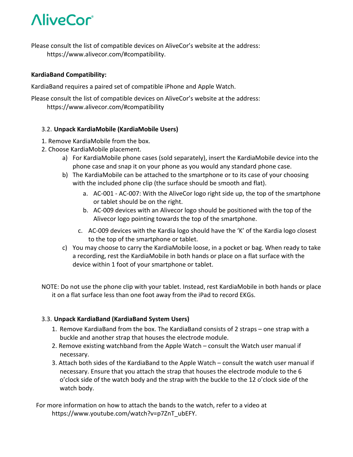Please consult the list of compatible devices on AliveCor's website at the address: https://www.alivecor.com/#compatibility.

# **KardiaBand Compatibility:**

KardiaBand requires a paired set of compatible iPhone and Apple Watch.

Please consult the list of compatible devices on AliveCor's website at the address: https://www.alivecor.com/#compatibility

# 3.2. **Unpack KardiaMobile (KardiaMobile Users)**

- 1. Remove KardiaMobile from the box.
- 2. Choose KardiaMobile placement.
	- a) For KardiaMobile phone cases (sold separately), insert the KardiaMobile device into the phone case and snap it on your phone as you would any standard phone case.
	- b) The KardiaMobile can be attached to the smartphone or to its case of your choosing with the included phone clip (the surface should be smooth and flat).
		- a. AC‐001 ‐ AC‐007: With the AliveCor logo right side up, the top of the smartphone or tablet should be on the right.
		- b. AC‐009 devices with an Alivecor logo should be positioned with the top of the Alivecor logo pointing towards the top of the smartphone.
		- c. AC‐009 devices with the Kardia logo should have the 'K' of the Kardia logo closest to the top of the smartphone or tablet.
	- c) You may choose to carry the KardiaMobile loose, in a pocket or bag. When ready to take a recording, rest the KardiaMobile in both hands or place on a flat surface with the device within 1 foot of your smartphone or tablet.
- NOTE: Do not use the phone clip with your tablet. Instead, rest KardiaMobile in both hands or place it on a flat surface less than one foot away from the iPad to record EKGs.

# 3.3. **Unpack KardiaBand (KardiaBand System Users)**

- 1. Remove KardiaBand from the box. The KardiaBand consists of 2 straps one strap with a buckle and another strap that houses the electrode module.
- 2. Remove existing watchband from the Apple Watch consult the Watch user manual if necessary.
- 3. Attach both sides of the KardiaBand to the Apple Watch consult the watch user manual if necessary. Ensure that you attach the strap that houses the electrode module to the 6 o'clock side of the watch body and the strap with the buckle to the 12 o'clock side of the watch body.

For more information on how to attach the bands to the watch, refer to a video at https://www.youtube.com/watch?v=p7ZnT\_ubEFY.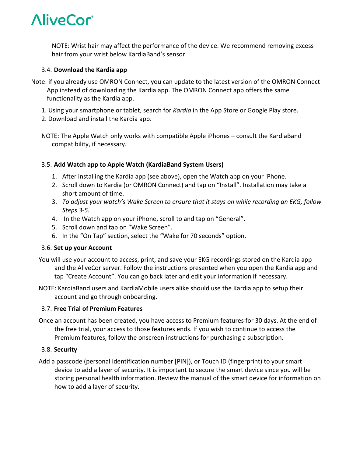NOTE: Wrist hair may affect the performance of the device. We recommend removing excess hair from your wrist below KardiaBand's sensor.

# 3.4. **Download the Kardia app**

- Note: if you already use OMRON Connect, you can update to the latest version of the OMRON Connect App instead of downloading the Kardia app. The OMRON Connect app offers the same functionality as the Kardia app.
	- 1. Using your smartphone or tablet, search for *Kardia* in the App Store or Google Play store.
	- 2. Download and install the Kardia app.
	- NOTE: The Apple Watch only works with compatible Apple iPhones consult the KardiaBand compatibility, if necessary.

# 3.5. **Add Watch app to Apple Watch (KardiaBand System Users)**

- 1. After installing the Kardia app (see above), open the Watch app on your iPhone.
- 2. Scroll down to Kardia (or OMRON Connect) and tap on "Install". Installation may take a short amount of time.
- 3. *To adjust your watch's Wake Screen to ensure that it stays on while recording an EKG, follow Steps 3‐5.*
- 4. In the Watch app on your iPhone, scroll to and tap on "General".
- 5. Scroll down and tap on "Wake Screen".
- 6. In the "On Tap" section, select the "Wake for 70 seconds" option.

# 3.6. **Set up your Account**

- You will use your account to access, print, and save your EKG recordings stored on the Kardia app and the AliveCor server. Follow the instructions presented when you open the Kardia app and tap "Create Account". You can go back later and edit your information if necessary.
- NOTE: KardiaBand users and KardiaMobile users alike should use the Kardia app to setup their account and go through onboarding.

# 3.7. **Free Trial of Premium Features**

Once an account has been created, you have access to Premium features for 30 days. At the end of the free trial, your access to those features ends. If you wish to continue to access the Premium features, follow the onscreen instructions for purchasing a subscription.

# 3.8. **Security**

Add a passcode (personal identification number [PIN]), or Touch ID (fingerprint) to your smart device to add a layer of security. It is important to secure the smart device since you will be storing personal health information. Review the manual of the smart device for information on how to add a layer of security.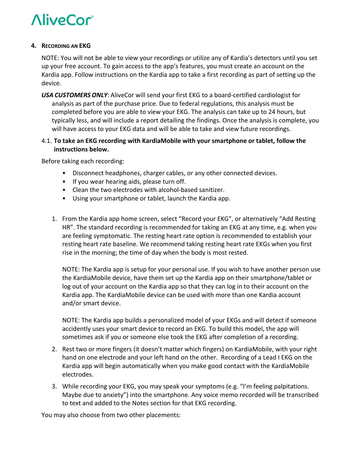#### **4. RECORDING AN EKG**

NOTE: You will not be able to view your recordings or utilize any of Kardia's detectors until you set up your free account. To gain access to the app's features, you must create an account on the Kardia app. Follow instructions on the Kardia app to take a first recording as part of setting up the device.

*USA CUSTOMERS ONLY*: AliveCor will send your first EKG to a board‐certified cardiologist for analysis as part of the purchase price. Due to federal regulations, this analysis must be completed before you are able to view your EKG. The analysis can take up to 24 hours, but typically less, and will include a report detailing the findings. Once the analysis is complete, you will have access to your EKG data and will be able to take and view future recordings.

# 4.1. **To take an EKG recording with KardiaMobile with your smartphone or tablet, follow the instructions below.**

Before taking each recording:

- Disconnect headphones, charger cables, or any other connected devices.
- If you wear hearing aids, please turn off.
- Clean the two electrodes with alcohol‐based sanitizer.
- Using your smartphone or tablet, launch the Kardia app.
- 1. From the Kardia app home screen, select "Record your EKG", or alternatively "Add Resting HR". The standard recording is recommended for taking an EKG at any time, e.g. when you are feeling symptomatic. The resting heart rate option is recommended to establish your resting heart rate baseline. We recommend taking resting heart rate EKGs when you first rise in the morning; the time of day when the body is most rested.

NOTE: The Kardia app is setup for your personal use. If you wish to have another person use the KardiaMobile device, have them set up the Kardia app on their smartphone/tablet or log out of your account on the Kardia app so that they can log in to their account on the Kardia app. The KardiaMobile device can be used with more than one Kardia account and/or smart device.

NOTE: The Kardia app builds a personalized model of your EKGs and will detect if someone accidently uses your smart device to record an EKG. To build this model, the app will sometimes ask if you or someone else took the EKG after completion of a recording.

- 2. Rest two or more fingers (it doesn't matter which fingers) on KardiaMobile, with your right hand on one electrode and your left hand on the other. Recording of a Lead I EKG on the Kardia app will begin automatically when you make good contact with the KardiaMobile electrodes.
- 3. While recording your EKG, you may speak your symptoms (e.g. "I'm feeling palpitations. Maybe due to anxiety") into the smartphone. Any voice memo recorded will be transcribed to text and added to the Notes section for that EKG recording.

You may also choose from two other placements: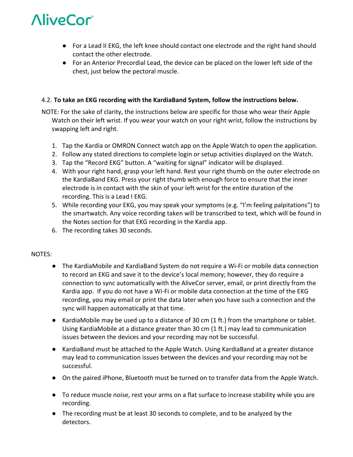- For a Lead II EKG, the left knee should contact one electrode and the right hand should contact the other electrode.
- For an Anterior Precordial Lead, the device can be placed on the lower left side of the chest, just below the pectoral muscle.

# 4.2. **To take an EKG recording with the KardiaBand System, follow the instructions below.**

NOTE: For the sake of clarity, the instructions below are specific for those who wear their Apple Watch on their left wrist. If you wear your watch on your right wrist, follow the instructions by swapping left and right.

- 1. Tap the Kardia or OMRON Connect watch app on the Apple Watch to open the application.
- 2. Follow any stated directions to complete login or setup activities displayed on the Watch.
- 3. Tap the "Record EKG" button. A "waiting for signal" indicator will be displayed.
- 4. With your right hand, grasp your left hand. Rest your right thumb on the outer electrode on the KardiaBand EKG. Press your right thumb with enough force to ensure that the inner electrode is in contact with the skin of your left wrist for the entire duration of the recording. This is a Lead I EKG.
- 5. While recording your EKG, you may speak your symptoms (e.g. "I'm feeling palpitations") to the smartwatch. Any voice recording taken will be transcribed to text, which will be found in the Notes section for that EKG recording in the Kardia app.
- 6. The recording takes 30 seconds.

# NOTES:

- The KardiaMobile and KardiaBand System do not require a Wi-Fi or mobile data connection to record an EKG and save it to the device's local memory; however, they do require a connection to sync automatically with the AliveCor server, email, or print directly from the Kardia app. If you do not have a Wi‐Fi or mobile data connection at the time of the EKG recording, you may email or print the data later when you have such a connection and the sync will happen automatically at that time.
- KardiaMobile may be used up to a distance of 30 cm (1 ft.) from the smartphone or tablet. Using KardiaMobile at a distance greater than 30 cm (1 ft.) may lead to communication issues between the devices and your recording may not be successful.
- KardiaBand must be attached to the Apple Watch. Using KardiaBand at a greater distance may lead to communication issues between the devices and your recording may not be successful.
- On the paired iPhone, Bluetooth must be turned on to transfer data from the Apple Watch.
- To reduce muscle noise, rest your arms on a flat surface to increase stability while you are recording.
- The recording must be at least 30 seconds to complete, and to be analyzed by the detectors.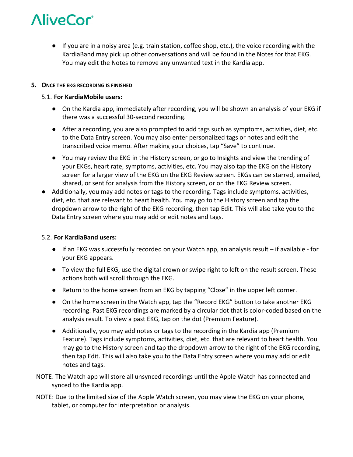● If you are in a noisy area (e.g. train station, coffee shop, etc.), the voice recording with the KardiaBand may pick up other conversations and will be found in the Notes for that EKG. You may edit the Notes to remove any unwanted text in the Kardia app.

#### **5. ONCE THE EKG RECORDING IS FINISHED**

# 5.1. **For KardiaMobile users:**

- On the Kardia app, immediately after recording, you will be shown an analysis of your EKG if there was a successful 30‐second recording.
- After a recording, you are also prompted to add tags such as symptoms, activities, diet, etc. to the Data Entry screen. You may also enter personalized tags or notes and edit the transcribed voice memo. After making your choices, tap "Save" to continue.
- You may review the EKG in the History screen, or go to Insights and view the trending of your EKGs, heart rate, symptoms, activities, etc. You may also tap the EKG on the History screen for a larger view of the EKG on the EKG Review screen. EKGs can be starred, emailed, shared, or sent for analysis from the History screen, or on the EKG Review screen.
- Additionally, you may add notes or tags to the recording. Tags include symptoms, activities, diet, etc. that are relevant to heart health. You may go to the History screen and tap the dropdown arrow to the right of the EKG recording, then tap Edit. This will also take you to the Data Entry screen where you may add or edit notes and tags.

# 5.2. **For KardiaBand users:**

- If an EKG was successfully recorded on your Watch app, an analysis result if available for your EKG appears.
- To view the full EKG, use the digital crown or swipe right to left on the result screen. These actions both will scroll through the EKG.
- Return to the home screen from an EKG by tapping "Close" in the upper left corner.
- On the home screen in the Watch app, tap the "Record EKG" button to take another EKG recording. Past EKG recordings are marked by a circular dot that is color‐coded based on the analysis result. To view a past EKG, tap on the dot (Premium Feature).
- Additionally, you may add notes or tags to the recording in the Kardia app (Premium Feature). Tags include symptoms, activities, diet, etc. that are relevant to heart health. You may go to the History screen and tap the dropdown arrow to the right of the EKG recording, then tap Edit. This will also take you to the Data Entry screen where you may add or edit notes and tags.
- NOTE: The Watch app will store all unsynced recordings until the Apple Watch has connected and synced to the Kardia app.
- NOTE: Due to the limited size of the Apple Watch screen, you may view the EKG on your phone, tablet, or computer for interpretation or analysis.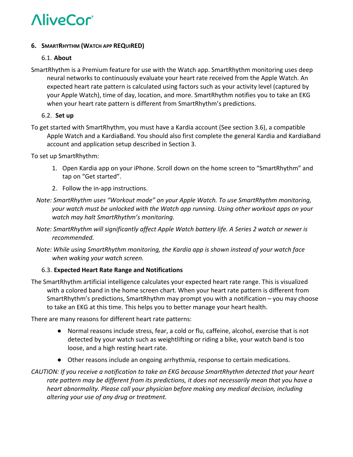### **6. SMARTRHYTHM (WATCH APP REQUIRED)**

### 6.1. **About**

SmartRhythm is a Premium feature for use with the Watch app. SmartRhythm monitoring uses deep neural networks to continuously evaluate your heart rate received from the Apple Watch. An expected heart rate pattern is calculated using factors such as your activity level (captured by your Apple Watch), time of day, location, and more. SmartRhythm notifies you to take an EKG when your heart rate pattern is different from SmartRhythm's predictions.

# 6.2.  **Set up**

To get started with SmartRhythm, you must have a Kardia account (See section 3.6), a compatible Apple Watch and a KardiaBand. You should also first complete the general Kardia and KardiaBand account and application setup described in Section 3.

To set up SmartRhythm:

- 1. Open Kardia app on your iPhone. Scroll down on the home screen to "SmartRhythm" and tap on "Get started".
- 2. Follow the in‐app instructions.
- *Note: SmartRhythm uses "Workout mode" on your Apple Watch. To use SmartRhythm monitoring, your watch must be unlocked with the Watch app running. Using other workout apps on your watch may halt SmartRhythm's monitoring.*
- *Note: SmartRhythm will significantly affect Apple Watch battery life. A Series 2 watch or newer is recommended.*
- *Note: While using SmartRhythm monitoring, the Kardia app is shown instead of your watch face when waking your watch screen.*

# 6.3. **Expected Heart Rate Range and Notifications**

The SmartRhythm artificial intelligence calculates your expected heart rate range. This is visualized with a colored band in the home screen chart. When your heart rate pattern is different from SmartRhythm's predictions, SmartRhythm may prompt you with a notification – you may choose to take an EKG at this time. This helps you to better manage your heart health.

There are many reasons for different heart rate patterns:

- Normal reasons include stress, fear, a cold or flu, caffeine, alcohol, exercise that is not detected by your watch such as weightlifting or riding a bike, your watch band is too loose, and a high resting heart rate.
- Other reasons include an ongoing arrhythmia, response to certain medications.
- *CAUTION: If you receive a notification to take an EKG because SmartRhythm detected that your heart rate pattern may be different from its predictions, it does not necessarily mean that you have a heart abnormality. Please call your physician before making any medical decision, including altering your use of any drug or treatment.*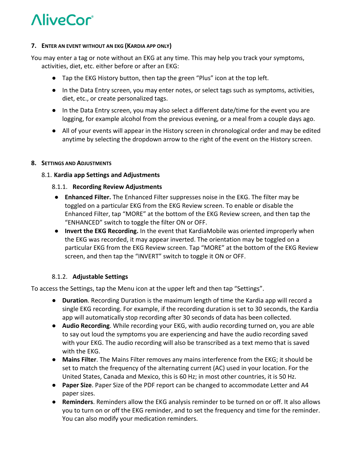#### **7. ENTER AN EVENT WITHOUT AN EKG (KARDIA APP ONLY)**

You may enter a tag or note without an EKG at any time. This may help you track your symptoms, activities, diet, etc. either before or after an EKG:

- Tap the EKG History button, then tap the green "Plus" icon at the top left.
- In the Data Entry screen, you may enter notes, or select tags such as symptoms, activities, diet, etc., or create personalized tags.
- In the Data Entry screen, you may also select a different date/time for the event you are logging, for example alcohol from the previous evening, or a meal from a couple days ago.
- All of your events will appear in the History screen in chronological order and may be edited anytime by selecting the dropdown arrow to the right of the event on the History screen.

### **8. SETTINGS AND ADJUSTMENTS**

# 8.1. **Kardia app Settings and Adjustments**

### 8.1.1. **Recording Review Adjustments**

- **Enhanced Filter.** The Enhanced Filter suppresses noise in the EKG. The filter may be toggled on a particular EKG from the EKG Review screen. To enable or disable the Enhanced Filter, tap "MORE" at the bottom of the EKG Review screen, and then tap the "ENHANCED" switch to toggle the filter ON or OFF.
- **Invert the EKG Recording.** In the event that KardiaMobile was oriented improperly when the EKG was recorded, it may appear inverted. The orientation may be toggled on a particular EKG from the EKG Review screen. Tap "MORE" at the bottom of the EKG Review screen, and then tap the "INVERT" switch to toggle it ON or OFF.

# 8.1.2. **Adjustable Settings**

To access the Settings, tap the Menu icon at the upper left and then tap "Settings".

- **Duration**. Recording Duration is the maximum length of time the Kardia app will record a single EKG recording. For example, if the recording duration is set to 30 seconds, the Kardia app will automatically stop recording after 30 seconds of data has been collected.
- **Audio Recording**. While recording your EKG, with audio recording turned on, you are able to say out loud the symptoms you are experiencing and have the audio recording saved with your EKG. The audio recording will also be transcribed as a text memo that is saved with the EKG.
- **Mains Filter**. The Mains Filter removes any mains interference from the EKG; it should be set to match the frequency of the alternating current (AC) used in your location. For the United States, Canada and Mexico, this is 60 Hz; in most other countries, it is 50 Hz.
- **Paper Size**. Paper Size of the PDF report can be changed to accommodate Letter and A4 paper sizes.
- **Reminders**. Reminders allow the EKG analysis reminder to be turned on or off. It also allows you to turn on or off the EKG reminder, and to set the frequency and time for the reminder. You can also modify your medication reminders.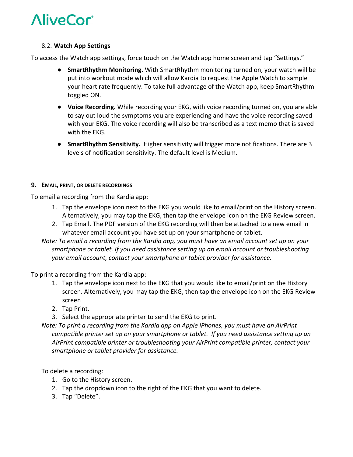### 8.2. **Watch App Settings**

To access the Watch app settings, force touch on the Watch app home screen and tap "Settings."

- **SmartRhythm Monitoring.** With SmartRhythm monitoring turned on, your watch will be put into workout mode which will allow Kardia to request the Apple Watch to sample your heart rate frequently. To take full advantage of the Watch app, keep SmartRhythm toggled ON.
- **Voice Recording.** While recording your EKG, with voice recording turned on, you are able to say out loud the symptoms you are experiencing and have the voice recording saved with your EKG. The voice recording will also be transcribed as a text memo that is saved with the EKG.
- **SmartRhythm Sensitivity.** Higher sensitivity will trigger more notifications. There are 3 levels of notification sensitivity. The default level is Medium.

#### **9. EMAIL, PRINT, OR DELETE RECORDINGS**

To email a recording from the Kardia app:

- 1. Tap the envelope icon next to the EKG you would like to email/print on the History screen. Alternatively, you may tap the EKG, then tap the envelope icon on the EKG Review screen.
- 2. Tap Email. The PDF version of the EKG recording will then be attached to a new email in whatever email account you have set up on your smartphone or tablet.
- *Note: To email a recording from the Kardia app, you must have an email account set up on your smartphone or tablet. If you need assistance setting up an email account or troubleshooting your email account, contact your smartphone or tablet provider for assistance.*

To print a recording from the Kardia app:

- 1. Tap the envelope icon next to the EKG that you would like to email/print on the History screen. Alternatively, you may tap the EKG, then tap the envelope icon on the EKG Review screen
- 2. Tap Print.
- 3. Select the appropriate printer to send the EKG to print.
- *Note: To print a recording from the Kardia app on Apple iPhones, you must have an AirPrint compatible printer set up on your smartphone or tablet. If you need assistance setting up an AirPrint compatible printer or troubleshooting your AirPrint compatible printer, contact your smartphone or tablet provider for assistance.*

To delete a recording:

- 1. Go to the History screen.
- 2. Tap the dropdown icon to the right of the EKG that you want to delete.
- 3. Tap "Delete".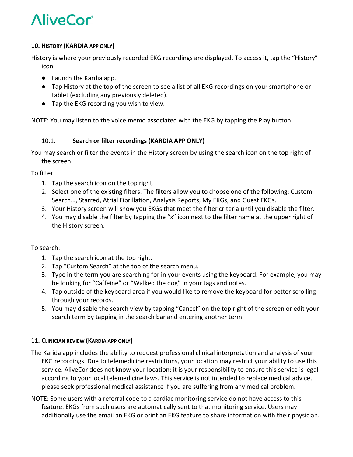# **10. HISTORY (KARDIA APP ONLY)**

History is where your previously recorded EKG recordings are displayed. To access it, tap the "History" icon.

- Launch the Kardia app.
- Tap History at the top of the screen to see a list of all EKG recordings on your smartphone or tablet (excluding any previously deleted).
- Tap the EKG recording you wish to view.

NOTE: You may listen to the voice memo associated with the EKG by tapping the Play button.

# 10.1. **Search or filter recordings (KARDIA APP ONLY)**

You may search or filter the events in the History screen by using the search icon on the top right of the screen.

To filter:

- 1. Tap the search icon on the top right.
- 2. Select one of the existing filters. The filters allow you to choose one of the following: Custom Search…, Starred, Atrial Fibrillation, Analysis Reports, My EKGs, and Guest EKGs.
- 3. Your History screen will show you EKGs that meet the filter criteria until you disable the filter.
- 4. You may disable the filter by tapping the "x" icon next to the filter name at the upper right of the History screen.

# To search:

- 1. Tap the search icon at the top right.
- 2. Tap "Custom Search" at the top of the search menu.
- 3. Type in the term you are searching for in your events using the keyboard. For example, you may be looking for "Caffeine" or "Walked the dog" in your tags and notes.
- 4. Tap outside of the keyboard area if you would like to remove the keyboard for better scrolling through your records.
- 5. You may disable the search view by tapping "Cancel" on the top right of the screen or edit your search term by tapping in the search bar and entering another term.

# **11. CLINICIAN REVIEW (KARDIA APP ONLY)**

- The Karida app includes the ability to request professional clinical interpretation and analysis of your EKG recordings. Due to telemedicine restrictions, your location may restrict your ability to use this service. AliveCor does not know your location; it is your responsibility to ensure this service is legal according to your local telemedicine laws. This service is not intended to replace medical advice, please seek professional medical assistance if you are suffering from any medical problem.
- NOTE: Some users with a referral code to a cardiac monitoring service do not have access to this feature. EKGs from such users are automatically sent to that monitoring service. Users may additionally use the email an EKG or print an EKG feature to share information with their physician.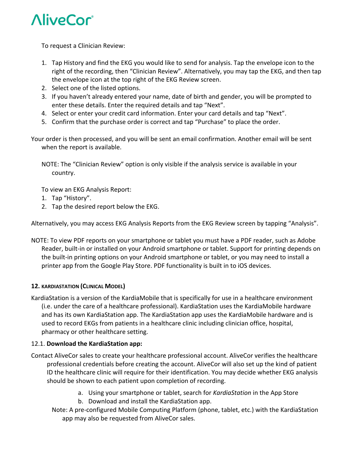

To request a Clinician Review:

- 1. Tap History and find the EKG you would like to send for analysis. Tap the envelope icon to the right of the recording, then "Clinician Review". Alternatively, you may tap the EKG, and then tap the envelope icon at the top right of the EKG Review screen.
- 2. Select one of the listed options.
- 3. If you haven't already entered your name, date of birth and gender, you will be prompted to enter these details. Enter the required details and tap "Next".
- 4. Select or enter your credit card information. Enter your card details and tap "Next".
- 5. Confirm that the purchase order is correct and tap "Purchase" to place the order.

Your order is then processed, and you will be sent an email confirmation. Another email will be sent when the report is available.

NOTE: The "Clinician Review" option is only visible if the analysis service is available in your country.

To view an EKG Analysis Report:

- 1. Tap "History".
- 2. Tap the desired report below the EKG.

Alternatively, you may access EKG Analysis Reports from the EKG Review screen by tapping "Analysis".

NOTE: To view PDF reports on your smartphone or tablet you must have a PDF reader, such as Adobe Reader, built-in or installed on your Android smartphone or tablet. Support for printing depends on the built-in printing options on your Android smartphone or tablet, or you may need to install a printer app from the Google Play Store. PDF functionality is built in to iOS devices.

# **12. KARDIASTATION (CLINICAL MODEL)**

KardiaStation is a version of the KardiaMobile that is specifically for use in a healthcare environment (i.e. under the care of a healthcare professional). KardiaStation uses the KardiaMobile hardware and has its own KardiaStation app. The KardiaStation app uses the KardiaMobile hardware and is used to record EKGs from patients in a healthcare clinic including clinician office, hospital, pharmacy or other healthcare setting.

#### 12.1. **Download the KardiaStation app:**

- Contact AliveCor sales to create your healthcare professional account. AliveCor verifies the healthcare professional credentials before creating the account. AliveCor will also set up the kind of patient ID the healthcare clinic will require for their identification. You may decide whether EKG analysis should be shown to each patient upon completion of recording.
	- a. Using your smartphone or tablet, search for *KardiaStation* in the App Store
	- b. Download and install the KardiaStation app.
	- Note: A pre‐configured Mobile Computing Platform (phone, tablet, etc.) with the KardiaStation app may also be requested from AliveCor sales.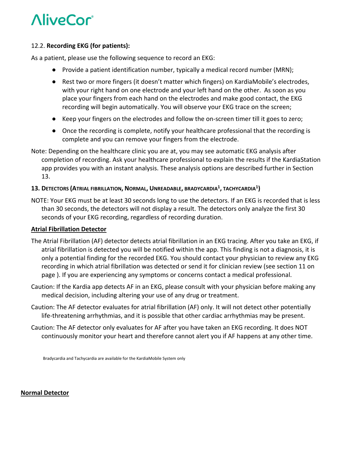### 12.2. **Recording EKG (for patients):**

As a patient, please use the following sequence to record an EKG:

- Provide a patient identification number, typically a medical record number (MRN);
- Rest two or more fingers (it doesn't matter which fingers) on KardiaMobile's electrodes, with your right hand on one electrode and your left hand on the other. As soon as you place your fingers from each hand on the electrodes and make good contact, the EKG recording will begin automatically. You will observe your EKG trace on the screen;
- Keep your fingers on the electrodes and follow the on-screen timer till it goes to zero;
- Once the recording is complete, notify your healthcare professional that the recording is complete and you can remove your fingers from the electrode.
- Note: Depending on the healthcare clinic you are at, you may see automatic EKG analysis after completion of recording. Ask your healthcare professional to explain the results if the KardiaStation app provides you with an instant analysis. These analysis options are described further in Section 13.

# **13. DETECTORS (ATRIAL FIBRILLATION, NORMAL, UNREADABLE, BRADYCARDIA1 , TACHYCARDIA1)**

NOTE: Your EKG must be at least 30 seconds long to use the detectors. If an EKG is recorded that is less than 30 seconds, the detectors will not display a result. The detectors only analyze the first 30 seconds of your EKG recording, regardless of recording duration.

#### **Atrial Fibrillation Detector**

- The Atrial Fibrillation (AF) detector detects atrial fibrillation in an EKG tracing. After you take an EKG, if atrial fibrillation is detected you will be notified within the app. This finding is not a diagnosis, it is only a potential finding for the recorded EKG. You should contact your physician to review any EKG recording in which atrial fibrillation was detected or send it for clinician review (see section 11 on page ). If you are experiencing any symptoms or concerns contact a medical professional.
- Caution: If the Kardia app detects AF in an EKG, please consult with your physician before making any medical decision, including altering your use of any drug or treatment.
- Caution: The AF detector evaluates for atrial fibrillation (AF) only. It will not detect other potentially life-threatening arrhythmias, and it is possible that other cardiac arrhythmias may be present.
- Caution: The AF detector only evaluates for AF after you have taken an EKG recording. It does NOT continuously monitor your heart and therefore cannot alert you if AF happens at any other time.

Bradycardia and Tachycardia are available for the KardiaMobile System only

#### **Normal Detector**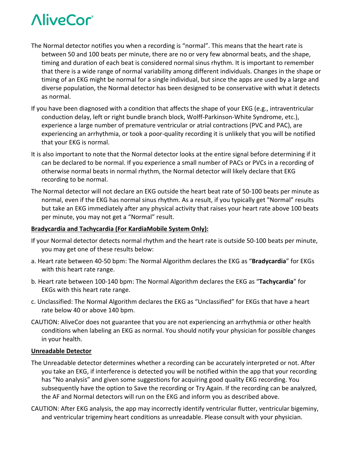- The Normal detector notifies you when a recording is "normal". This means that the heart rate is between 50 and 100 beats per minute, there are no or very few abnormal beats, and the shape, timing and duration of each beat is considered normal sinus rhythm. It is important to remember that there is a wide range of normal variability among different individuals. Changes in the shape or timing of an EKG might be normal for a single individual, but since the apps are used by a large and diverse population, the Normal detector has been designed to be conservative with what it detects as normal.
- If you have been diagnosed with a condition that affects the shape of your EKG (e.g., intraventricular conduction delay, left or right bundle branch block, Wolff‐Parkinson‐White Syndrome, etc.), experience a large number of premature ventricular or atrial contractions (PVC and PAC), are experiencing an arrhythmia, or took a poor‐quality recording it is unlikely that you will be notified that your EKG is normal.
- It is also important to note that the Normal detector looks at the entire signal before determining if it can be declared to be normal. If you experience a small number of PACs or PVCs in a recording of otherwise normal beats in normal rhythm, the Normal detector will likely declare that EKG recording to be normal.
- The Normal detector will not declare an EKG outside the heart beat rate of 50‐100 beats per minute as normal, even if the EKG has normal sinus rhythm. As a result, if you typically get "Normal" results but take an EKG immediately after any physical activity that raises your heart rate above 100 beats per minute, you may not get a "Normal" result.

#### **Bradycardia and Tachycardia (For KardiaMobile System Only):**

- If your Normal detector detects normal rhythm and the heart rate is outside 50‐100 beats per minute, you may get one of these results below:
- a. Heart rate between 40‐50 bpm: The Normal Algorithm declares the EKG as "**Bradycardia**" for EKGs with this heart rate range.
- b. Heart rate between 100‐140 bpm: The Normal Algorithm declares the EKG as "**Tachycardia**" for EKGs with this heart rate range.
- c. Unclassified: The Normal Algorithm declares the EKG as "Unclassified" for EKGs that have a heart rate below 40 or above 140 bpm.
- CAUTION: AliveCor does not guarantee that you are not experiencing an arrhythmia or other health conditions when labeling an EKG as normal. You should notify your physician for possible changes in your health.

#### **Unreadable Detector**

- The Unreadable detector determines whether a recording can be accurately interpreted or not. After you take an EKG, if interference is detected you will be notified within the app that your recording has "No analysis" and given some suggestions for acquiring good quality EKG recording. You subsequently have the option to Save the recording or Try Again. If the recording can be analyzed, the AF and Normal detectors will run on the EKG and inform you as described above.
- CAUTION: After EKG analysis, the app may incorrectly identify ventricular flutter, ventricular bigeminy, and ventricular trigeminy heart conditions as unreadable. Please consult with your physician.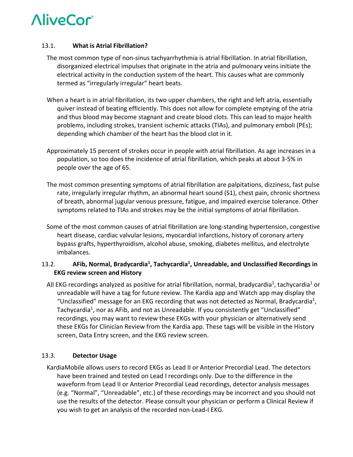### 13.1. **What is Atrial Fibrillation?**

- The most common type of non‐sinus tachyarrhythmia is atrial fibrillation. In atrial fibrillation, disorganized electrical impulses that originate in the atria and pulmonary veins initiate the electrical activity in the conduction system of the heart. This causes what are commonly termed as "irregularly irregular" heart beats.
- When a heart is in atrial fibrillation, its two upper chambers, the right and left atria, essentially quiver instead of beating efficiently. This does not allow for complete emptying of the atria and thus blood may become stagnant and create blood clots. This can lead to major health problems, including strokes, transient ischemic attacks (TIAs), and pulmonary emboli (PEs); depending which chamber of the heart has the blood clot in it.
- Approximately 15 percent of strokes occur in people with atrial fibrillation. As age increases in a population, so too does the incidence of atrial fibrillation, which peaks at about 3‐5% in people over the age of 65.
- The most common presenting symptoms of atrial fibrillation are palpitations, dizziness, fast pulse rate, irregularly irregular rhythm, an abnormal heart sound (S1), chest pain, chronic shortness of breath, abnormal jugular venous pressure, fatigue, and impaired exercise tolerance. Other symptoms related to TIAs and strokes may be the initial symptoms of atrial fibrillation.
- Some of the most common causes of atrial fibrillation are long-standing hypertension, congestive heart disease, cardiac valvular lesions, myocardial infarctions, history of coronary artery bypass grafts, hyperthyroidism, alcohol abuse, smoking, diabetes mellitus, and electrolyte imbalances.

# 13.2. **AFib, Normal, Bradycardia1, Tachycardia1, Unreadable, and Unclassified Recordings in EKG review screen and History**

All EKG recordings analyzed as positive for atrial fibrillation, normal, bradycardia<sup>1</sup>, tachycardia<sup>1</sup> or unreadable will have a tag for future review. The Kardia app and Watch app may display the "Unclassified" message for an EKG recording that was not detected as Normal, Bradycardia<sup>1</sup>, Tachycardia<sup>1</sup>, nor as AFib, and not as Unreadable. If you consistently get "Unclassified" recordings, you may want to review these EKGs with your physician or alternatively send these EKGs for Clinician Review from the Kardia app. These tags will be visible in the History screen, Data Entry screen, and the EKG review screen.

# 13.3. **Detector Usage**

KardiaMobile allows users to record EKGs as Lead II or Anterior Precordial Lead. The detectors have been trained and tested on Lead I recordings only. Due to the difference in the waveform from Lead II or Anterior Precordial Lead recordings, detector analysis messages (e.g. "Normal", "Unreadable", etc.) of these recordings may be incorrect and you should not use the results of the detector. Please consult your physician or perform a Clinical Review if you wish to get an analysis of the recorded non‐Lead‐I EKG.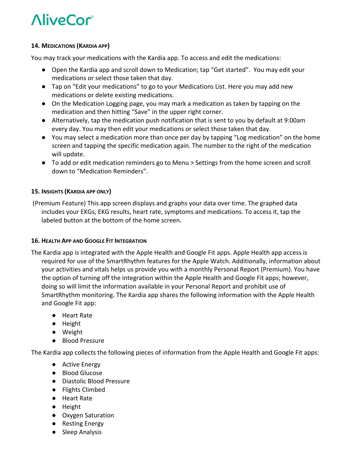### **14. MEDICATIONS (KARDIA APP)**

You may track your medications with the Kardia app. To access and edit the medications:

- Open the Kardia app and scroll down to Medication; tap "Get started". You may edit your medications or select those taken that day.
- Tap on "Edit your medications" to go to your Medications List. Here you may add new medications or delete existing medications.
- On the Medication Logging page, you may mark a medication as taken by tapping on the medication and then hitting "Save" in the upper right corner.
- Alternatively, tap the medication push notification that is sent to you by default at 9:00am every day. You may then edit your medications or select those taken that day.
- You may select a medication more than once per day by tapping "Log medication" on the home screen and tapping the specific medication again. The number to the right of the medication will update.
- To add or edit medication reminders go to Menu > Settings from the home screen and scroll down to "Medication Reminders".

# **15. INSIGHTS (KARDIA APP ONLY)**

 (Premium Feature) This app screen displays and graphs your data over time. The graphed data includes your EKGs, EKG results, heart rate, symptoms and medications. To access it, tap the labeled button at the bottom of the home screen.

# **16. HEALTH APP AND GOOGLE FIT INTEGRATION**

- The Kardia app is integrated with the Apple Health and Google Fit apps. Apple Health app access is required for use of the SmartRhythm features for the Apple Watch. Additionally, information about your activities and vitals helps us provide you with a monthly Personal Report (Premium). You have the option of turning off the integration within the Apple Health and Google Fit apps; however, doing so will limit the information available in your Personal Report and prohibit use of SmartRhythm monitoring. The Kardia app shares the following information with the Apple Health and Google Fit app:
	- Heart Rate
	- Height
	- Weight
	- Blood Pressure

The Kardia app collects the following pieces of information from the Apple Health and Google Fit apps:

- Active Energy
- Blood Glucose
- Diastolic Blood Pressure
- Flights Climbed
- Heart Rate
- Height
- Oxygen Saturation
- Resting Energy
- Sleep Analysis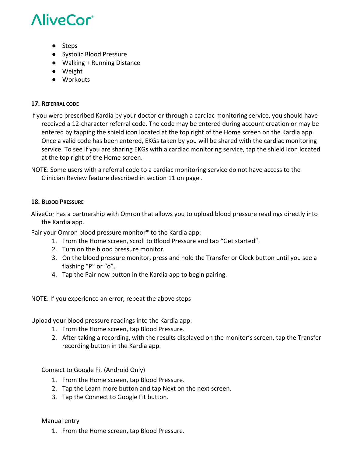- Steps
- Systolic Blood Pressure
- Walking + Running Distance
- Weight
- Workouts

### **17. REFERRAL CODE**

If you were prescribed Kardia by your doctor or through a cardiac monitoring service, you should have received a 12‐character referral code. The code may be entered during account creation or may be entered by tapping the shield icon located at the top right of the Home screen on the Kardia app. Once a valid code has been entered, EKGs taken by you will be shared with the cardiac monitoring service. To see if you are sharing EKGs with a cardiac monitoring service, tap the shield icon located at the top right of the Home screen.

NOTE: Some users with a referral code to a cardiac monitoring service do not have access to the Clinician Review feature described in section 11 on page .

#### **18. BLOOD PRESSURE**

AliveCor has a partnership with Omron that allows you to upload blood pressure readings directly into the Kardia app.

Pair your Omron blood pressure monitor\* to the Kardia app:

- 1. From the Home screen, scroll to Blood Pressure and tap "Get started".
- 2. Turn on the blood pressure monitor.
- 3. On the blood pressure monitor, press and hold the Transfer or Clock button until you see a flashing "P" or "o".
- 4. Tap the Pair now button in the Kardia app to begin pairing.

NOTE: If you experience an error, repeat the above steps

Upload your blood pressure readings into the Kardia app:

- 1. From the Home screen, tap Blood Pressure.
- 2. After taking a recording, with the results displayed on the monitor's screen, tap the Transfer recording button in the Kardia app.

Connect to Google Fit (Android Only)

- 1. From the Home screen, tap Blood Pressure.
- 2. Tap the Learn more button and tap Next on the next screen.
- 3. Tap the Connect to Google Fit button.

Manual entry

1. From the Home screen, tap Blood Pressure.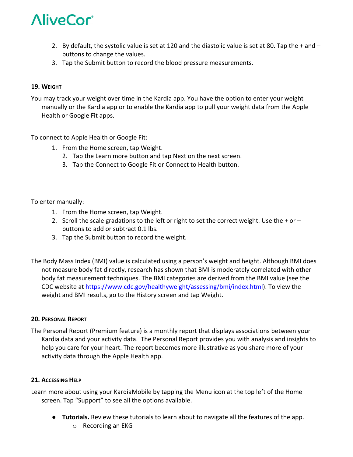- 2. By default, the systolic value is set at 120 and the diastolic value is set at 80. Tap the + and buttons to change the values.
- 3. Tap the Submit button to record the blood pressure measurements.

### **19. WEIGHT**

You may track your weight over time in the Kardia app. You have the option to enter your weight manually or the Kardia app or to enable the Kardia app to pull your weight data from the Apple Health or Google Fit apps.

### To connect to Apple Health or Google Fit:

- 1. From the Home screen, tap Weight.
	- 2. Tap the Learn more button and tap Next on the next screen.
	- 3. Tap the Connect to Google Fit or Connect to Health button.

#### To enter manually:

- 1. From the Home screen, tap Weight.
- 2. Scroll the scale gradations to the left or right to set the correct weight. Use the  $+$  or  $$ buttons to add or subtract 0.1 lbs.
- 3. Tap the Submit button to record the weight.
- The Body Mass Index (BMI) value is calculated using a person's weight and height. Although BMI does not measure body fat directly, research has shown that BMI is moderately correlated with other body fat measurement techniques. The BMI categories are derived from the BMI value (see the CDC website at https://www.cdc.gov/healthyweight/assessing/bmi/index.html). To view the weight and BMI results, go to the History screen and tap Weight.

#### **20. PERSONAL REPORT**

The Personal Report (Premium feature) is a monthly report that displays associations between your Kardia data and your activity data. The Personal Report provides you with analysis and insights to help you care for your heart. The report becomes more illustrative as you share more of your activity data through the Apple Health app.

#### **21. ACCESSING HELP**

Learn more about using your KardiaMobile by tapping the Menu icon at the top left of the Home screen. Tap "Support" to see all the options available.

- **Tutorials.** Review these tutorials to learn about to navigate all the features of the app.
	- o Recording an EKG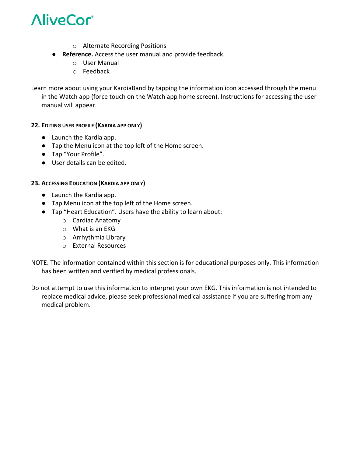

- o Alternate Recording Positions
- **Reference.** Access the user manual and provide feedback.
	- o User Manual
	- o Feedback

Learn more about using your KardiaBand by tapping the information icon accessed through the menu in the Watch app (force touch on the Watch app home screen). Instructions for accessing the user manual will appear.

### **22. EDITING USER PROFILE (KARDIA APP ONLY)**

- Launch the Kardia app.
- Tap the Menu icon at the top left of the Home screen.
- Tap "Your Profile".
- User details can be edited.

#### **23. ACCESSING EDUCATION (KARDIA APP ONLY)**

- Launch the Kardia app.
- Tap Menu icon at the top left of the Home screen.
- Tap "Heart Education". Users have the ability to learn about:
	- o Cardiac Anatomy
	- o What is an EKG
	- o Arrhythmia Library
	- o External Resources
- NOTE: The information contained within this section is for educational purposes only. This information has been written and verified by medical professionals.
- Do not attempt to use this information to interpret your own EKG. This information is not intended to replace medical advice, please seek professional medical assistance if you are suffering from any medical problem.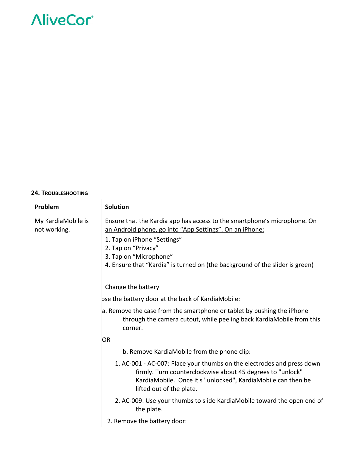#### **24. TROUBLESHOOTING**

| Problem                            | <b>Solution</b>                                                                                                                                                                                                                                                                                     |
|------------------------------------|-----------------------------------------------------------------------------------------------------------------------------------------------------------------------------------------------------------------------------------------------------------------------------------------------------|
| My KardiaMobile is<br>not working. | Ensure that the Kardia app has access to the smartphone's microphone. On<br>an Android phone, go into "App Settings". On an iPhone:<br>1. Tap on iPhone "Settings"<br>2. Tap on "Privacy"<br>3. Tap on "Microphone"<br>4. Ensure that "Kardia" is turned on (the background of the slider is green) |
|                                    | Change the battery                                                                                                                                                                                                                                                                                  |
|                                    | bse the battery door at the back of KardiaMobile:                                                                                                                                                                                                                                                   |
|                                    | a. Remove the case from the smartphone or tablet by pushing the iPhone<br>through the camera cutout, while peeling back KardiaMobile from this<br>corner.                                                                                                                                           |
|                                    | OR                                                                                                                                                                                                                                                                                                  |
|                                    | b. Remove KardiaMobile from the phone clip:                                                                                                                                                                                                                                                         |
|                                    | 1. AC-001 - AC-007: Place your thumbs on the electrodes and press down<br>firmly. Turn counterclockwise about 45 degrees to "unlock"<br>KardiaMobile. Once it's "unlocked", KardiaMobile can then be<br>lifted out of the plate.                                                                    |
|                                    | 2. AC-009: Use your thumbs to slide KardiaMobile toward the open end of<br>the plate.                                                                                                                                                                                                               |
|                                    | 2. Remove the battery door:                                                                                                                                                                                                                                                                         |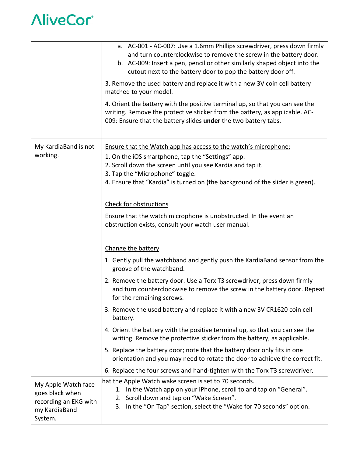|                                                                                             | a. AC-001 - AC-007: Use a 1.6mm Phillips screwdriver, press down firmly<br>and turn counterclockwise to remove the screw in the battery door.<br>b. AC-009: Insert a pen, pencil or other similarly shaped object into the<br>cutout next to the battery door to pop the battery door off.<br>3. Remove the used battery and replace it with a new 3V coin cell battery |  |  |
|---------------------------------------------------------------------------------------------|-------------------------------------------------------------------------------------------------------------------------------------------------------------------------------------------------------------------------------------------------------------------------------------------------------------------------------------------------------------------------|--|--|
|                                                                                             | matched to your model.                                                                                                                                                                                                                                                                                                                                                  |  |  |
|                                                                                             | 4. Orient the battery with the positive terminal up, so that you can see the<br>writing. Remove the protective sticker from the battery, as applicable. AC-<br>009: Ensure that the battery slides under the two battery tabs.                                                                                                                                          |  |  |
| My KardiaBand is not<br>working.                                                            | <b>Ensure that the Watch app has access to the watch's microphone:</b><br>1. On the iOS smartphone, tap the "Settings" app.<br>2. Scroll down the screen until you see Kardia and tap it.<br>3. Tap the "Microphone" toggle.<br>4. Ensure that "Kardia" is turned on (the background of the slider is green).                                                           |  |  |
|                                                                                             | Check for obstructions                                                                                                                                                                                                                                                                                                                                                  |  |  |
|                                                                                             | Ensure that the watch microphone is unobstructed. In the event an<br>obstruction exists, consult your watch user manual.                                                                                                                                                                                                                                                |  |  |
|                                                                                             | Change the battery                                                                                                                                                                                                                                                                                                                                                      |  |  |
|                                                                                             | 1. Gently pull the watchband and gently push the KardiaBand sensor from the<br>groove of the watchband.                                                                                                                                                                                                                                                                 |  |  |
|                                                                                             | 2. Remove the battery door. Use a Torx T3 screwdriver, press down firmly<br>and turn counterclockwise to remove the screw in the battery door. Repeat<br>for the remaining screws.                                                                                                                                                                                      |  |  |
|                                                                                             | 3. Remove the used battery and replace it with a new 3V CR1620 coin cell<br>battery.                                                                                                                                                                                                                                                                                    |  |  |
|                                                                                             | 4. Orient the battery with the positive terminal up, so that you can see the<br>writing. Remove the protective sticker from the battery, as applicable.                                                                                                                                                                                                                 |  |  |
|                                                                                             | 5. Replace the battery door; note that the battery door only fits in one<br>orientation and you may need to rotate the door to achieve the correct fit.                                                                                                                                                                                                                 |  |  |
|                                                                                             | 6. Replace the four screws and hand-tighten with the Torx T3 screwdriver.                                                                                                                                                                                                                                                                                               |  |  |
| My Apple Watch face<br>goes black when<br>recording an EKG with<br>my KardiaBand<br>System. | hat the Apple Watch wake screen is set to 70 seconds.<br>1. In the Watch app on your iPhone, scroll to and tap on "General".<br>2. Scroll down and tap on "Wake Screen".<br>In the "On Tap" section, select the "Wake for 70 seconds" option.<br>3.                                                                                                                     |  |  |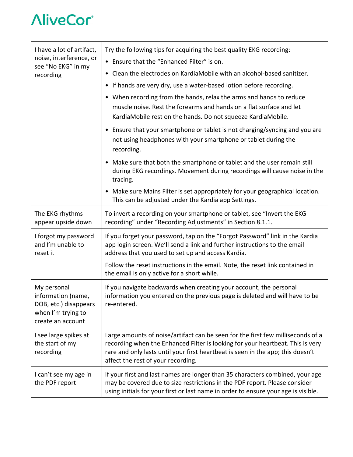| I have a lot of artifact,                                                                             | Try the following tips for acquiring the best quality EKG recording:                                                                                                                                                                                                                       |  |  |  |
|-------------------------------------------------------------------------------------------------------|--------------------------------------------------------------------------------------------------------------------------------------------------------------------------------------------------------------------------------------------------------------------------------------------|--|--|--|
| noise, interference, or                                                                               | • Ensure that the "Enhanced Filter" is on.                                                                                                                                                                                                                                                 |  |  |  |
| see "No EKG" in my<br>recording                                                                       | • Clean the electrodes on KardiaMobile with an alcohol-based sanitizer.                                                                                                                                                                                                                    |  |  |  |
|                                                                                                       | • If hands are very dry, use a water-based lotion before recording.                                                                                                                                                                                                                        |  |  |  |
|                                                                                                       | • When recording from the hands, relax the arms and hands to reduce<br>muscle noise. Rest the forearms and hands on a flat surface and let<br>KardiaMobile rest on the hands. Do not squeeze KardiaMobile.                                                                                 |  |  |  |
|                                                                                                       | • Ensure that your smartphone or tablet is not charging/syncing and you are<br>not using headphones with your smartphone or tablet during the<br>recording.                                                                                                                                |  |  |  |
|                                                                                                       | • Make sure that both the smartphone or tablet and the user remain still<br>during EKG recordings. Movement during recordings will cause noise in the<br>tracing.                                                                                                                          |  |  |  |
|                                                                                                       | • Make sure Mains Filter is set appropriately for your geographical location.<br>This can be adjusted under the Kardia app Settings.                                                                                                                                                       |  |  |  |
| The EKG rhythms<br>appear upside down                                                                 | To invert a recording on your smartphone or tablet, see "Invert the EKG<br>recording" under "Recording Adjustments" in Section 8.1.1.                                                                                                                                                      |  |  |  |
| I forgot my password<br>and I'm unable to<br>reset it                                                 | If you forget your password, tap on the "Forgot Password" link in the Kardia<br>app login screen. We'll send a link and further instructions to the email<br>address that you used to set up and access Kardia.                                                                            |  |  |  |
|                                                                                                       | Follow the reset instructions in the email. Note, the reset link contained in<br>the email is only active for a short while.                                                                                                                                                               |  |  |  |
| My personal<br>information (name,<br>DOB, etc.) disappears<br>when I'm trying to<br>create an account | If you navigate backwards when creating your account, the personal<br>information you entered on the previous page is deleted and will have to be<br>re-entered.                                                                                                                           |  |  |  |
| I see large spikes at<br>the start of my<br>recording                                                 | Large amounts of noise/artifact can be seen for the first few milliseconds of a<br>recording when the Enhanced Filter is looking for your heartbeat. This is very<br>rare and only lasts until your first heartbeat is seen in the app; this doesn't<br>affect the rest of your recording. |  |  |  |
| I can't see my age in<br>the PDF report                                                               | If your first and last names are longer than 35 characters combined, your age<br>may be covered due to size restrictions in the PDF report. Please consider<br>using initials for your first or last name in order to ensure your age is visible.                                          |  |  |  |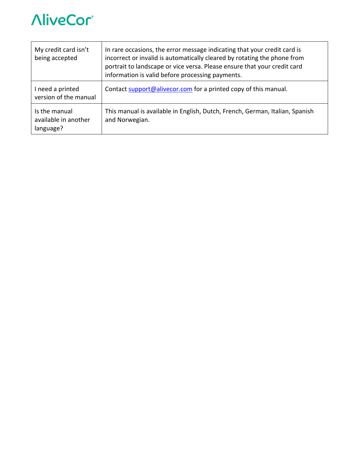

| My credit card isn't<br>being accepted             | In rare occasions, the error message indicating that your credit card is<br>incorrect or invalid is automatically cleared by rotating the phone from<br>portrait to landscape or vice versa. Please ensure that your credit card<br>information is valid before processing payments. |
|----------------------------------------------------|--------------------------------------------------------------------------------------------------------------------------------------------------------------------------------------------------------------------------------------------------------------------------------------|
| I need a printed<br>version of the manual          | Contact support@alivecor.com for a printed copy of this manual.                                                                                                                                                                                                                      |
| Is the manual<br>available in another<br>language? | This manual is available in English, Dutch, French, German, Italian, Spanish<br>and Norwegian.                                                                                                                                                                                       |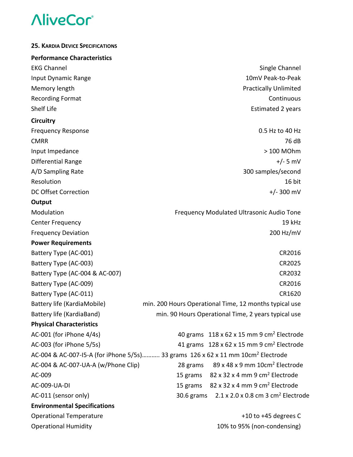| <b>25. KARDIA DEVICE SPECIFICATIONS</b>                                                      |                                                                          |
|----------------------------------------------------------------------------------------------|--------------------------------------------------------------------------|
| <b>Performance Characteristics</b>                                                           |                                                                          |
| <b>EKG Channel</b>                                                                           | Single Channel                                                           |
| Input Dynamic Range                                                                          | 10mV Peak-to-Peak                                                        |
| Memory length                                                                                | <b>Practically Unlimited</b>                                             |
| <b>Recording Format</b>                                                                      | Continuous                                                               |
| Shelf Life                                                                                   | <b>Estimated 2 years</b>                                                 |
| <b>Circuitry</b>                                                                             |                                                                          |
| <b>Frequency Response</b>                                                                    | 0.5 Hz to 40 Hz                                                          |
| <b>CMRR</b>                                                                                  | 76 dB                                                                    |
| Input Impedance                                                                              | > 100 MOhm                                                               |
| Differential Range                                                                           | $+/- 5$ mV                                                               |
| A/D Sampling Rate                                                                            | 300 samples/second                                                       |
| Resolution                                                                                   | 16 bit                                                                   |
| DC Offset Correction                                                                         | $+/- 300$ mV                                                             |
| Output                                                                                       |                                                                          |
| Modulation                                                                                   | Frequency Modulated Ultrasonic Audio Tone                                |
| <b>Center Frequency</b>                                                                      | 19 kHz                                                                   |
| <b>Frequency Deviation</b>                                                                   | 200 Hz/mV                                                                |
| <b>Power Requirements</b>                                                                    |                                                                          |
| Battery Type (AC-001)                                                                        | CR2016                                                                   |
| Battery Type (AC-003)                                                                        | CR2025                                                                   |
| Battery Type (AC-004 & AC-007)                                                               | CR2032                                                                   |
| Battery Type (AC-009)                                                                        | CR2016                                                                   |
| Battery Type (AC-011)                                                                        | CR1620                                                                   |
| Battery life (KardiaMobile)                                                                  | min. 200 Hours Operational Time, 12 months typical use                   |
| Battery life (KardiaBand)                                                                    | min. 90 Hours Operational Time, 2 years typical use                      |
| <b>Physical Characteristics</b>                                                              |                                                                          |
| AC-001 (for iPhone 4/4s)                                                                     | 40 grams $118 \times 62 \times 15$ mm 9 cm <sup>2</sup> Electrode        |
| AC-003 (for iPhone 5/5s)                                                                     | 41 grams $128 \times 62 \times 15$ mm 9 cm <sup>2</sup> Electrode        |
| AC-004 & AC-007-15-A (for iPhone 5/5s) 33 grams 126 x 62 x 11 mm 10cm <sup>2</sup> Electrode |                                                                          |
| AC-004 & AC-007-UA-A (w/Phone Clip)                                                          | 89 x 48 x 9 mm 10cm <sup>2</sup> Electrode<br>28 grams                   |
| AC-009                                                                                       | 15 grams 82 x 32 x 4 mm 9 cm <sup>2</sup> Electrode                      |
| AC-009-UA-DI                                                                                 | 15 grams 82 x 32 x 4 mm 9 cm <sup>2</sup> Electrode                      |
| AC-011 (sensor only)                                                                         | $2.1 \times 2.0 \times 0.8$ cm 3 cm <sup>2</sup> Electrode<br>30.6 grams |
| <b>Environmental Specifications</b>                                                          |                                                                          |
| <b>Operational Temperature</b>                                                               | +10 to +45 degrees C                                                     |
| <b>Operational Humidity</b>                                                                  | 10% to 95% (non-condensing)                                              |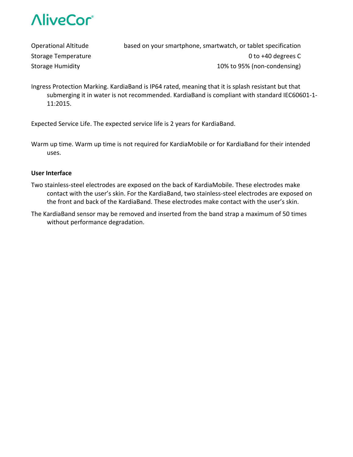

Operational Altitude based on your smartphone, smartwatch, or tablet specification Storage Temperature **CONFINGITY** CONSERVATION CONTINUES A CONTROLLER CONTROLLER CONTROLLER CONTROLLER CONTROLLER Storage Humidity 10% to 95% (non-condensing)

Ingress Protection Marking. KardiaBand is IP64 rated, meaning that it is splash resistant but that submerging it in water is not recommended. KardiaBand is compliant with standard IEC60601‐1‐ 11:2015.

Expected Service Life. The expected service life is 2 years for KardiaBand.

Warm up time. Warm up time is not required for KardiaMobile or for KardiaBand for their intended uses.

#### **User Interface**

- Two stainless‐steel electrodes are exposed on the back of KardiaMobile. These electrodes make contact with the user's skin. For the KardiaBand, two stainless‐steel electrodes are exposed on the front and back of the KardiaBand. These electrodes make contact with the user's skin.
- The KardiaBand sensor may be removed and inserted from the band strap a maximum of 50 times without performance degradation.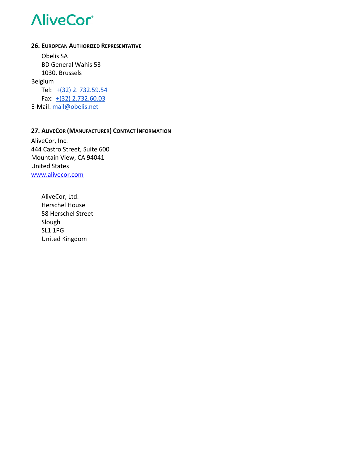#### **26. EUROPEAN AUTHORIZED REPRESENTATIVE**

Obelis SA BD General Wahis 53 1030, Brussels Belgium Tel: +(32) 2.732.59.54 Fax:  $+(32)$  2.732.60.03 E‐Mail: mail@obelis.net

# **27. ALIVECOR (MANUFACTURER) CONTACT INFORMATION**

AliveCor, Inc. 444 Castro Street, Suite 600 Mountain View, CA 94041 United States www.alivecor.com

> AliveCor, Ltd. Herschel House 58 Herschel Street Slough SL1 1PG United Kingdom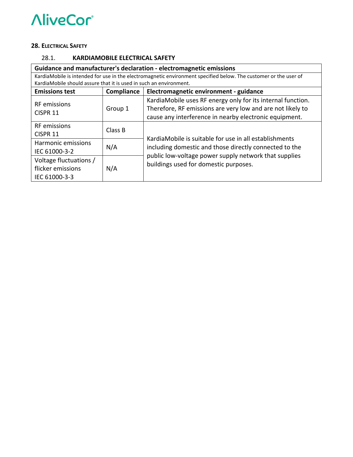#### **28. ELECTRICAL SAFETY**

### 28.1. **KARDIAMOBILE ELECTRICAL SAFETY**

| Guidance and manufacturer's declaration - electromagnetic emissions |            |                                                                                                                   |  |  |
|---------------------------------------------------------------------|------------|-------------------------------------------------------------------------------------------------------------------|--|--|
|                                                                     |            | KardiaMobile is intended for use in the electromagnetic environment specified below. The customer or the user of  |  |  |
| KardiaMobile should assure that it is used in such an environment.  |            |                                                                                                                   |  |  |
| <b>Emissions test</b>                                               | Compliance | Electromagnetic environment - guidance                                                                            |  |  |
|                                                                     |            | KardiaMobile uses RF energy only for its internal function.                                                       |  |  |
| <b>RF</b> emissions                                                 | Group 1    | Therefore, RF emissions are very low and are not likely to                                                        |  |  |
| CISPR <sub>11</sub>                                                 |            | cause any interference in nearby electronic equipment.                                                            |  |  |
| <b>RF</b> emissions                                                 | Class B    |                                                                                                                   |  |  |
| CISPR 11                                                            |            | Kardia Mobile is suitable for use in all establishments<br>including domestic and those directly connected to the |  |  |
| Harmonic emissions                                                  | N/A        |                                                                                                                   |  |  |
| IEC 61000-3-2                                                       |            |                                                                                                                   |  |  |
| Voltage fluctuations /                                              | N/A        | public low-voltage power supply network that supplies                                                             |  |  |
| flicker emissions                                                   |            | buildings used for domestic purposes.                                                                             |  |  |
| IEC 61000-3-3                                                       |            |                                                                                                                   |  |  |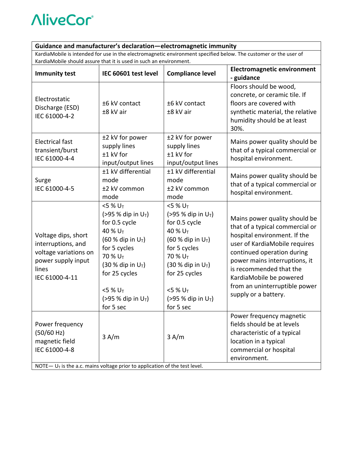# **Guidance and manufacturer's declaration—electromagnetic immunity**

KardiaMobile is intended for use in the electromagnetic environment specified below. The customer or the user of KardiaMobile should assure that it is used in such an environment.

| <b>Immunity test</b>                                                                                                | IEC 60601 test level                                                                                                                                                                                                                                                         | <b>Compliance level</b>                                                                                                                                                                                                                                           | <b>Electromagnetic environment</b><br>- guidance                                                                                                                                                                                                                                                                |
|---------------------------------------------------------------------------------------------------------------------|------------------------------------------------------------------------------------------------------------------------------------------------------------------------------------------------------------------------------------------------------------------------------|-------------------------------------------------------------------------------------------------------------------------------------------------------------------------------------------------------------------------------------------------------------------|-----------------------------------------------------------------------------------------------------------------------------------------------------------------------------------------------------------------------------------------------------------------------------------------------------------------|
| Electrostatic<br>Discharge (ESD)<br>IEC 61000-4-2                                                                   | ±6 kV contact<br>±8 kV air                                                                                                                                                                                                                                                   | ±6 kV contact<br>±8 kV air                                                                                                                                                                                                                                        | Floors should be wood,<br>concrete, or ceramic tile. If<br>floors are covered with<br>synthetic material, the relative<br>humidity should be at least<br>30%.                                                                                                                                                   |
| <b>Electrical fast</b><br>transient/burst<br>IEC 61000-4-4                                                          | ±2 kV for power<br>supply lines<br>±1 kV for<br>input/output lines                                                                                                                                                                                                           | ±2 kV for power<br>supply lines<br>±1 kV for<br>input/output lines                                                                                                                                                                                                | Mains power quality should be<br>that of a typical commercial or<br>hospital environment.                                                                                                                                                                                                                       |
| Surge<br>IEC 61000-4-5                                                                                              | ±1 kV differential<br>mode<br>±2 kV common<br>mode                                                                                                                                                                                                                           | ±1 kV differential<br>mode<br>±2 kV common<br>mode                                                                                                                                                                                                                | Mains power quality should be<br>that of a typical commercial or<br>hospital environment.                                                                                                                                                                                                                       |
| Voltage dips, short<br>interruptions, and<br>voltage variations on<br>power supply input<br>lines<br>IEC 61000-4-11 | $<$ 5 % U <sub>T</sub><br>(>95 % dip in $U_T$ )<br>for 0.5 cycle<br>40 % U <sub>T</sub><br>$(60 %$ dip in $U_T$ )<br>for 5 cycles<br>70 % U <sub>T</sub><br>$(30 %$ dip in $U_T$ )<br>for 25 cycles<br>$<$ 5 % U <sub>T</sub><br>(>95 % dip in U <sub>T</sub> )<br>for 5 sec | $<$ 5 % U <sub>T</sub><br>(>95 % dip in $U_T$ )<br>for 0.5 cycle<br>40 % $U_T$<br>(60 % dip in $U_T$ )<br>for 5 cycles<br>70 % U <sub>T</sub><br>$(30 %$ dip in U <sub>T</sub> )<br>for 25 cycles<br>$<$ 5 % U <sub>T</sub><br>(>95 % dip in $U_T$ )<br>for 5 sec | Mains power quality should be<br>that of a typical commercial or<br>hospital environment. If the<br>user of KardiaMobile requires<br>continued operation during<br>power mains interruptions, it<br>is recommended that the<br>KardiaMobile be powered<br>from an uninterruptible power<br>supply or a battery. |
| Power frequency<br>(50/60 Hz)<br>magnetic field<br>IEC 61000-4-8                                                    | 3 A/m<br>NOTE $-U_T$ is the a.c. mains voltage prior to application of the test level.                                                                                                                                                                                       | 3 A/m                                                                                                                                                                                                                                                             | Power frequency magnetic<br>fields should be at levels<br>characteristic of a typical<br>location in a typical<br>commercial or hospital<br>environment.                                                                                                                                                        |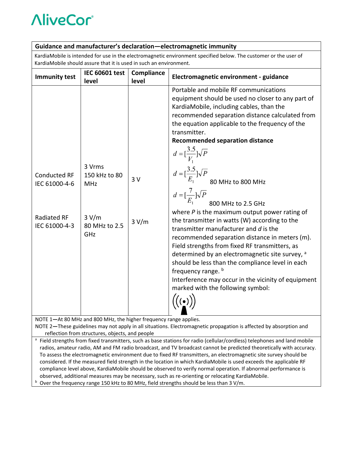# **Guidance and manufacturer's declaration—electromagnetic immunity**

KardiaMobile is intended for use in the electromagnetic environment specified below. The customer or the user of KardiaMobile should assure that it is used in such an environment.

|                                                                                                                                                                                                                                      | <b>IEC 60601 test</b>                                           | Compliance  | Electromagnetic environment - guidance                                                                                                                                                                                                                                                                                                                                                                                                                                                                                                                                                                                                                                                                                                                                                                                                                                                                                                                                                       |  |  |
|--------------------------------------------------------------------------------------------------------------------------------------------------------------------------------------------------------------------------------------|-----------------------------------------------------------------|-------------|----------------------------------------------------------------------------------------------------------------------------------------------------------------------------------------------------------------------------------------------------------------------------------------------------------------------------------------------------------------------------------------------------------------------------------------------------------------------------------------------------------------------------------------------------------------------------------------------------------------------------------------------------------------------------------------------------------------------------------------------------------------------------------------------------------------------------------------------------------------------------------------------------------------------------------------------------------------------------------------------|--|--|
| <b>Immunity test</b>                                                                                                                                                                                                                 | level                                                           | level       |                                                                                                                                                                                                                                                                                                                                                                                                                                                                                                                                                                                                                                                                                                                                                                                                                                                                                                                                                                                              |  |  |
| <b>Conducted RF</b><br>IEC 61000-4-6<br><b>Radiated RF</b><br>IEC 61000-4-3                                                                                                                                                          | 3 Vrms<br>150 kHz to 80<br>MHz<br>3 V/m<br>80 MHz to 2.5<br>GHz | 3V<br>3 V/m | Portable and mobile RF communications<br>equipment should be used no closer to any part of<br>KardiaMobile, including cables, than the<br>recommended separation distance calculated from<br>the equation applicable to the frequency of the<br>transmitter.<br><b>Recommended separation distance</b><br>$d = \left[\frac{3.5}{V_1}\right] \sqrt{P}$<br>$d = \left[\frac{3.5}{E_1}\right] \sqrt{P}$<br>80 MHz to 800 MHz<br>$d = \left[\frac{7}{E_1}\right] \sqrt{P}$<br>800 MHz to 2.5 GHz<br>800 MHz to 2.5 GHz<br>where $P$ is the maximum output power rating of<br>the transmitter in watts (W) according to the<br>transmitter manufacturer and d is the<br>recommended separation distance in meters (m).<br>Field strengths from fixed RF transmitters, as<br>determined by an electromagnetic site survey, a<br>should be less than the compliance level in each<br>frequency range. b<br>Interference may occur in the vicinity of equipment<br>marked with the following symbol: |  |  |
| NOTE 1-At 80 MHz and 800 MHz, the higher frequency range applies.                                                                                                                                                                    |                                                                 |             |                                                                                                                                                                                                                                                                                                                                                                                                                                                                                                                                                                                                                                                                                                                                                                                                                                                                                                                                                                                              |  |  |
| NOTE 2-These guidelines may not apply in all situations. Electromagnetic propagation is affected by absorption and                                                                                                                   |                                                                 |             |                                                                                                                                                                                                                                                                                                                                                                                                                                                                                                                                                                                                                                                                                                                                                                                                                                                                                                                                                                                              |  |  |
| reflection from structures, objects, and people                                                                                                                                                                                      |                                                                 |             |                                                                                                                                                                                                                                                                                                                                                                                                                                                                                                                                                                                                                                                                                                                                                                                                                                                                                                                                                                                              |  |  |
| <sup>a</sup> Field strengths from fixed transmitters, such as base stations for radio (cellular/cordless) telephones and land mobile                                                                                                 |                                                                 |             |                                                                                                                                                                                                                                                                                                                                                                                                                                                                                                                                                                                                                                                                                                                                                                                                                                                                                                                                                                                              |  |  |
| radios, amateur radio, AM and FM radio broadcast, and TV broadcast cannot be predicted theoretically with accuracy.                                                                                                                  |                                                                 |             |                                                                                                                                                                                                                                                                                                                                                                                                                                                                                                                                                                                                                                                                                                                                                                                                                                                                                                                                                                                              |  |  |
| To assess the electromagnetic environment due to fixed RF transmitters, an electromagnetic site survey should be                                                                                                                     |                                                                 |             |                                                                                                                                                                                                                                                                                                                                                                                                                                                                                                                                                                                                                                                                                                                                                                                                                                                                                                                                                                                              |  |  |
| considered. If the measured field strength in the location in which KardiaMobile is used exceeds the applicable RF<br>compliance level above, KardiaMobile should be observed to verify normal operation. If abnormal performance is |                                                                 |             |                                                                                                                                                                                                                                                                                                                                                                                                                                                                                                                                                                                                                                                                                                                                                                                                                                                                                                                                                                                              |  |  |
|                                                                                                                                                                                                                                      |                                                                 |             |                                                                                                                                                                                                                                                                                                                                                                                                                                                                                                                                                                                                                                                                                                                                                                                                                                                                                                                                                                                              |  |  |
| observed, additional measures may be necessary, such as re-orienting or relocating KardiaMobile.                                                                                                                                     |                                                                 |             |                                                                                                                                                                                                                                                                                                                                                                                                                                                                                                                                                                                                                                                                                                                                                                                                                                                                                                                                                                                              |  |  |

<sup>b</sup> Over the frequency range 150 kHz to 80 MHz, field strengths should be less than 3 V/m.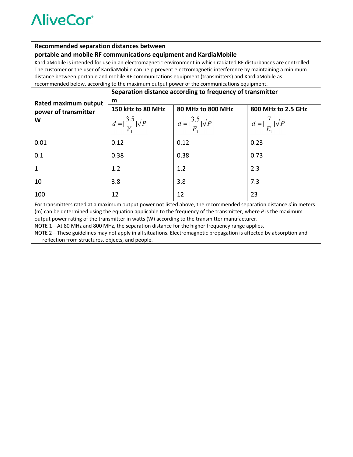#### **Recommended separation distances between**

#### **portable and mobile RF communications equipment and KardiaMobile**

KardiaMobile is intended for use in an electromagnetic environment in which radiated RF disturbances are controlled. The customer or the user of KardiaMobile can help prevent electromagnetic interference by maintaining a minimum distance between portable and mobile RF communications equipment (transmitters) and KardiaMobile as recommended below, according to the maximum output power of the communications equipment.

|                                                                                                                                                                                                                                       | Separation distance according to frequency of transmitter |                                           |                                         |  |  |
|---------------------------------------------------------------------------------------------------------------------------------------------------------------------------------------------------------------------------------------|-----------------------------------------------------------|-------------------------------------------|-----------------------------------------|--|--|
| Rated maximum output                                                                                                                                                                                                                  | m                                                         |                                           |                                         |  |  |
| power of transmitter                                                                                                                                                                                                                  | 150 kHz to 80 MHz                                         | 80 MHz to 800 MHz                         | 800 MHz to 2.5 GHz                      |  |  |
| W                                                                                                                                                                                                                                     | $d = \left[\frac{3.5}{V}\right] \sqrt{P}$                 | $d = \left[\frac{3.5}{E}\right] \sqrt{P}$ | $d = \left[\frac{7}{E}\right] \sqrt{P}$ |  |  |
| 0.01                                                                                                                                                                                                                                  | 0.12                                                      | 0.12                                      | 0.23                                    |  |  |
| 0.1                                                                                                                                                                                                                                   | 0.38                                                      | 0.38                                      | 0.73                                    |  |  |
|                                                                                                                                                                                                                                       | 1.2                                                       | 1.2                                       | 2.3                                     |  |  |
| 10                                                                                                                                                                                                                                    | 3.8                                                       | 3.8                                       | 7.3                                     |  |  |
| 100                                                                                                                                                                                                                                   | 12                                                        | 12                                        | 23                                      |  |  |
| For transmitters rated at a maximum output power not listed above, the recommended separation distance d in meters<br>(m) can be determined using the equation applicable to the frequency of the transmitter, where P is the maximum |                                                           |                                           |                                         |  |  |

output power rating of the transmitter in watts (W) according to the transmitter manufacturer.

NOTE 1—At 80 MHz and 800 MHz, the separation distance for the higher frequency range applies.

NOTE 2—These guidelines may not apply in all situations. Electromagnetic propagation is affected by absorption and reflection from structures, objects, and people.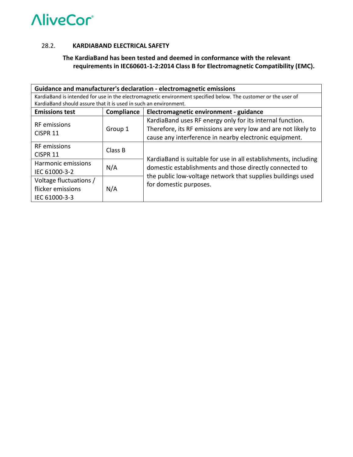#### 28.2. **KARDIABAND ELECTRICAL SAFETY**

# **The KardiaBand has been tested and deemed in conformance with the relevant requirements in IEC60601‐1‐2:2014 Class B for Electromagnetic Compatibility (EMC).**

| Guidance and manufacturer's declaration - electromagnetic emissions                                            |            |                                                                                                                            |  |  |  |
|----------------------------------------------------------------------------------------------------------------|------------|----------------------------------------------------------------------------------------------------------------------------|--|--|--|
| KardiaBand is intended for use in the electromagnetic environment specified below. The customer or the user of |            |                                                                                                                            |  |  |  |
| KardiaBand should assure that it is used in such an environment.                                               |            |                                                                                                                            |  |  |  |
| <b>Emissions test</b>                                                                                          | Compliance | Electromagnetic environment - guidance                                                                                     |  |  |  |
|                                                                                                                |            | KardiaBand uses RF energy only for its internal function.                                                                  |  |  |  |
| <b>RF</b> emissions                                                                                            | Group 1    | Therefore, its RF emissions are very low and are not likely to                                                             |  |  |  |
| CISPR <sub>11</sub>                                                                                            |            | cause any interference in nearby electronic equipment.                                                                     |  |  |  |
| <b>RF</b> emissions                                                                                            | Class B    |                                                                                                                            |  |  |  |
| CISPR <sub>11</sub>                                                                                            |            |                                                                                                                            |  |  |  |
| Harmonic emissions                                                                                             |            | KardiaBand is suitable for use in all establishments, including<br>domestic establishments and those directly connected to |  |  |  |
| IEC 61000-3-2                                                                                                  | N/A        |                                                                                                                            |  |  |  |
| Voltage fluctuations /                                                                                         |            | the public low-voltage network that supplies buildings used                                                                |  |  |  |
| flicker emissions                                                                                              | N/A        | for domestic purposes.                                                                                                     |  |  |  |
| IEC 61000-3-3                                                                                                  |            |                                                                                                                            |  |  |  |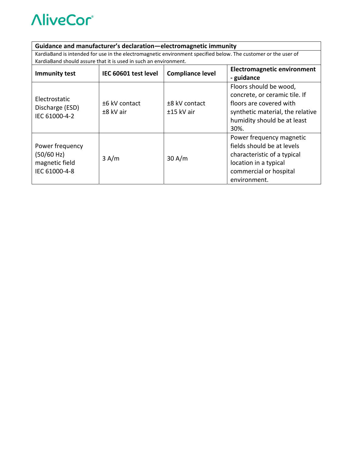### **Guidance and manufacturer's declaration—electromagnetic immunity**

KardiaBand is intended for use in the electromagnetic environment specified below. The customer or the user of KardiaBand should assure that it is used in such an environment.

| <b>Immunity test</b>                                             | IEC 60601 test level       | <b>Compliance level</b>       | <b>Electromagnetic environment</b><br>- guidance                                                                                                              |
|------------------------------------------------------------------|----------------------------|-------------------------------|---------------------------------------------------------------------------------------------------------------------------------------------------------------|
| Electrostatic<br>Discharge (ESD)<br>IEC 61000-4-2                | ±6 kV contact<br>±8 kV air | ±8 kV contact<br>$±15$ kV air | Floors should be wood,<br>concrete, or ceramic tile. If<br>floors are covered with<br>synthetic material, the relative<br>humidity should be at least<br>30%. |
| Power frequency<br>(50/60 Hz)<br>magnetic field<br>IEC 61000-4-8 | 3 A/m                      | 30 A/m                        | Power frequency magnetic<br>fields should be at levels<br>characteristic of a typical<br>location in a typical<br>commercial or hospital<br>environment.      |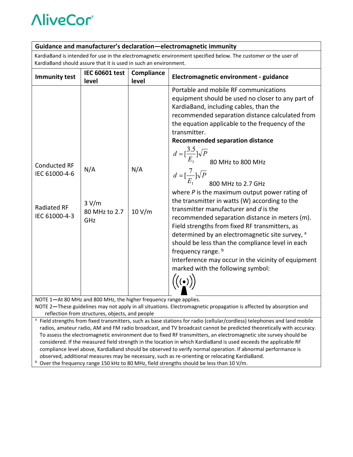| Guidance and manufacturer's declaration-electromagnetic immunity                                                                                                                                                                                                                                                                                                                   |                                      |                     |                                                                                                                                                                                                                                                                                                                                                                                                                                                                                                                                                                                                                                                                                                                                                                                                                                                                                                                       |  |  |
|------------------------------------------------------------------------------------------------------------------------------------------------------------------------------------------------------------------------------------------------------------------------------------------------------------------------------------------------------------------------------------|--------------------------------------|---------------------|-----------------------------------------------------------------------------------------------------------------------------------------------------------------------------------------------------------------------------------------------------------------------------------------------------------------------------------------------------------------------------------------------------------------------------------------------------------------------------------------------------------------------------------------------------------------------------------------------------------------------------------------------------------------------------------------------------------------------------------------------------------------------------------------------------------------------------------------------------------------------------------------------------------------------|--|--|
| KardiaBand is intended for use in the electromagnetic environment specified below. The customer or the user of<br>KardiaBand should assure that it is used in such an environment.                                                                                                                                                                                                 |                                      |                     |                                                                                                                                                                                                                                                                                                                                                                                                                                                                                                                                                                                                                                                                                                                                                                                                                                                                                                                       |  |  |
| <b>Immunity test</b>                                                                                                                                                                                                                                                                                                                                                               | <b>IEC 60601 test</b><br>level       | Compliance<br>level | Electromagnetic environment - guidance                                                                                                                                                                                                                                                                                                                                                                                                                                                                                                                                                                                                                                                                                                                                                                                                                                                                                |  |  |
| <b>Conducted RF</b><br>IEC 61000-4-6<br><b>Radiated RF</b><br>IEC 61000-4-3                                                                                                                                                                                                                                                                                                        | N/A<br>3 V/m<br>80 MHz to 2.7<br>GHz | N/A<br>10 V/m       | Portable and mobile RF communications<br>equipment should be used no closer to any part of<br>KardiaBand, including cables, than the<br>recommended separation distance calculated from<br>the equation applicable to the frequency of the<br>transmitter.<br><b>Recommended separation distance</b><br>$d = \left[\frac{3.5}{E_1}\right] \sqrt{P}$<br>80 MHz to 800 MHz<br>$d = \left[\frac{7}{E_1}\right] \sqrt{P}$<br>800 MHz to 2.7 GHz<br>where $P$ is the maximum output power rating of<br>the transmitter in watts (W) according to the<br>transmitter manufacturer and d is the<br>recommended separation distance in meters (m).<br>Field strengths from fixed RF transmitters, as<br>determined by an electromagnetic site survey, a<br>should be less than the compliance level in each<br>frequency range. b<br>Interference may occur in the vicinity of equipment<br>marked with the following symbol: |  |  |
| NOTE 1-At 80 MHz and 800 MHz, the higher frequency range applies.<br>NOTE 2-These guidelines may not apply in all situations. Electromagnetic propagation is affected by absorption and<br>reflection from structures, objects, and people<br><sup>a</sup> Field strengths from fixed transmitters, such as base stations for radio (cellular/cordless) telephones and land mobile |                                      |                     |                                                                                                                                                                                                                                                                                                                                                                                                                                                                                                                                                                                                                                                                                                                                                                                                                                                                                                                       |  |  |
|                                                                                                                                                                                                                                                                                                                                                                                    |                                      |                     |                                                                                                                                                                                                                                                                                                                                                                                                                                                                                                                                                                                                                                                                                                                                                                                                                                                                                                                       |  |  |

- radios, amateur radio, AM and FM radio broadcast, and TV broadcast cannot be predicted theoretically with accuracy. To assess the electromagnetic environment due to fixed RF transmitters, an electromagnetic site survey should be considered. If the measured field strength in the location in which KardiaBand is used exceeds the applicable RF compliance level above, KardiaBand should be observed to verify normal operation. If abnormal performance is observed, additional measures may be necessary, such as re‐orienting or relocating KardiaBand.
- <sup>b</sup> Over the frequency range 150 kHz to 80 MHz, field strengths should be less than 10 V/m.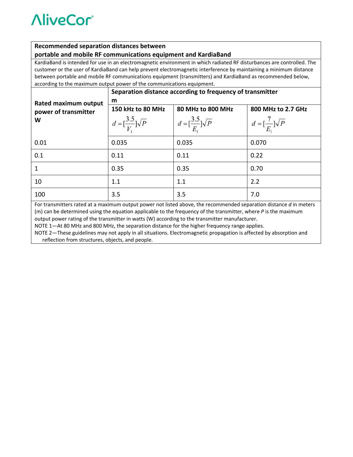#### **Recommended separation distances between**

#### **portable and mobile RF communications equipment and KardiaBand**

KardiaBand is intended for use in an electromagnetic environment in which radiated RF disturbances are controlled. The customer or the user of KardiaBand can help prevent electromagnetic interference by maintaining a minimum distance between portable and mobile RF communications equipment (transmitters) and KardiaBand as recommended below, according to the maximum output power of the communications equipment.

|                                                                                                                                                                                                                                         | Separation distance according to frequency of transmitter |                                           |                                         |  |  |
|-----------------------------------------------------------------------------------------------------------------------------------------------------------------------------------------------------------------------------------------|-----------------------------------------------------------|-------------------------------------------|-----------------------------------------|--|--|
| Rated maximum output                                                                                                                                                                                                                    | m                                                         |                                           |                                         |  |  |
| power of transmitter                                                                                                                                                                                                                    | 150 kHz to 80 MHz                                         | 80 MHz to 800 MHz                         | 800 MHz to 2.7 GHz                      |  |  |
| W                                                                                                                                                                                                                                       | $d = \left[\frac{3.5}{V}\right] \sqrt{P}$                 | $d = \left[\frac{3.5}{E}\right] \sqrt{P}$ | $d = \left[\frac{7}{E}\right] \sqrt{P}$ |  |  |
| 0.01                                                                                                                                                                                                                                    | 0.035                                                     | 0.035                                     | 0.070                                   |  |  |
| 0.1                                                                                                                                                                                                                                     | 0.11                                                      | 0.11                                      | 0.22                                    |  |  |
|                                                                                                                                                                                                                                         | 0.35                                                      | 0.35                                      | 0.70                                    |  |  |
| 10                                                                                                                                                                                                                                      | 1.1                                                       | 1.1                                       | 2.2                                     |  |  |
| 100                                                                                                                                                                                                                                     | 3.5                                                       | 3.5                                       | 7.0                                     |  |  |
| For transmitters rated at a maximum output power not listed above, the recommended separation distance d in meters<br>(m) can be determined using the equation applicable to the frequency of the transmitter, where $P$ is the maximum |                                                           |                                           |                                         |  |  |

output power rating of the transmitter in watts (W) according to the transmitter manufacturer.

NOTE 1—At 80 MHz and 800 MHz, the separation distance for the higher frequency range applies.

NOTE 2—These guidelines may not apply in all situations. Electromagnetic propagation is affected by absorption and reflection from structures, objects, and people.